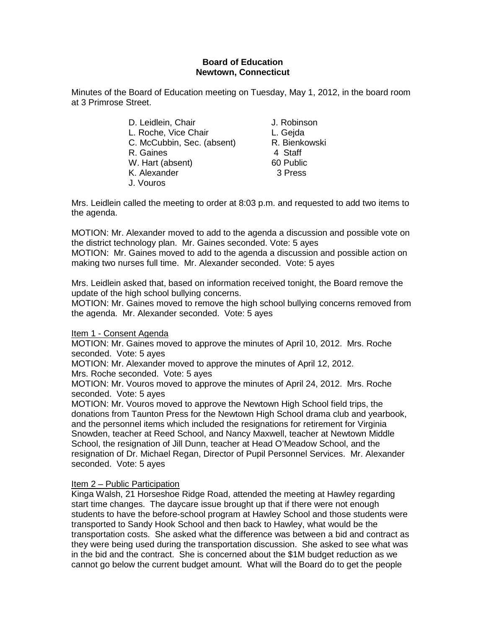# **Board of Education Newtown, Connecticut**

Minutes of the Board of Education meeting on Tuesday, May 1, 2012, in the board room at 3 Primrose Street.

| D. Leidlein, Chair         |
|----------------------------|
| L. Roche, Vice Chair       |
| C. McCubbin, Sec. (absent) |
| R. Gaines                  |
| W. Hart (absent)           |
| K. Alexander               |
| J. Vouros                  |

J. Robinson L. Geida R. Bienkowski 4 Staff 60 Public 3 Press

Mrs. Leidlein called the meeting to order at 8:03 p.m. and requested to add two items to the agenda.

MOTION: Mr. Alexander moved to add to the agenda a discussion and possible vote on the district technology plan. Mr. Gaines seconded. Vote: 5 ayes MOTION: Mr. Gaines moved to add to the agenda a discussion and possible action on

making two nurses full time. Mr. Alexander seconded. Vote: 5 ayes

Mrs. Leidlein asked that, based on information received tonight, the Board remove the update of the high school bullying concerns.

MOTION: Mr. Gaines moved to remove the high school bullying concerns removed from the agenda. Mr. Alexander seconded. Vote: 5 ayes

# Item 1 - Consent Agenda

MOTION: Mr. Gaines moved to approve the minutes of April 10, 2012. Mrs. Roche seconded. Vote: 5 ayes

MOTION: Mr. Alexander moved to approve the minutes of April 12, 2012. Mrs. Roche seconded. Vote: 5 ayes

MOTION: Mr. Vouros moved to approve the minutes of April 24, 2012. Mrs. Roche seconded. Vote: 5 ayes

MOTION: Mr. Vouros moved to approve the Newtown High School field trips, the donations from Taunton Press for the Newtown High School drama club and yearbook, and the personnel items which included the resignations for retirement for Virginia Snowden, teacher at Reed School, and Nancy Maxwell, teacher at Newtown Middle School, the resignation of Jill Dunn, teacher at Head O'Meadow School, and the resignation of Dr. Michael Regan, Director of Pupil Personnel Services. Mr. Alexander seconded. Vote: 5 ayes

# Item 2 – Public Participation

Kinga Walsh, 21 Horseshoe Ridge Road, attended the meeting at Hawley regarding start time changes. The daycare issue brought up that if there were not enough students to have the before-school program at Hawley School and those students were transported to Sandy Hook School and then back to Hawley, what would be the transportation costs. She asked what the difference was between a bid and contract as they were being used during the transportation discussion. She asked to see what was in the bid and the contract. She is concerned about the \$1M budget reduction as we cannot go below the current budget amount. What will the Board do to get the people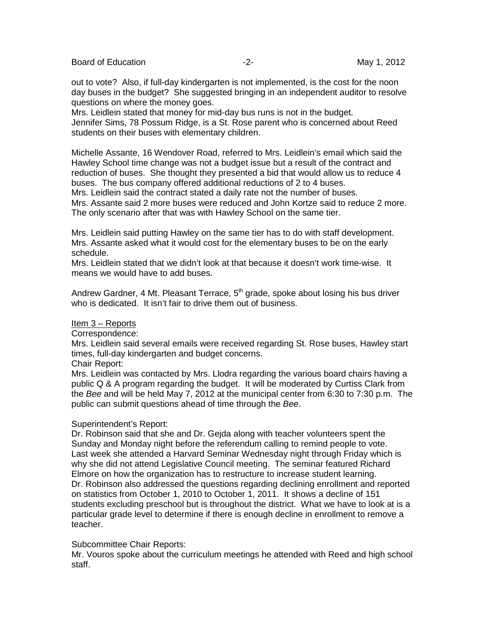Board of Education **Contract Contract Contract Contract Contract Contract Contract Contract Contract Contract Contract Contract Contract Contract Contract Contract Contract Contract Contract Contract Contract Contract Cont** 

out to vote? Also, if full-day kindergarten is not implemented, is the cost for the noon day buses in the budget? She suggested bringing in an independent auditor to resolve questions on where the money goes.

Mrs. Leidlein stated that money for mid-day bus runs is not in the budget. Jennifer Sims, 78 Possum Ridge, is a St. Rose parent who is concerned about Reed students on their buses with elementary children.

Michelle Assante, 16 Wendover Road, referred to Mrs. Leidlein's email which said the Hawley School time change was not a budget issue but a result of the contract and reduction of buses. She thought they presented a bid that would allow us to reduce 4 buses. The bus company offered additional reductions of 2 to 4 buses. Mrs. Leidlein said the contract stated a daily rate not the number of buses.

Mrs. Assante said 2 more buses were reduced and John Kortze said to reduce 2 more. The only scenario after that was with Hawley School on the same tier.

Mrs. Leidlein said putting Hawley on the same tier has to do with staff development. Mrs. Assante asked what it would cost for the elementary buses to be on the early schedule.

Mrs. Leidlein stated that we didn't look at that because it doesn't work time-wise. It means we would have to add buses.

Andrew Gardner, 4 Mt. Pleasant Terrace,  $5<sup>th</sup>$  grade, spoke about losing his bus driver who is dedicated. It isn't fair to drive them out of business.

# Item 3 – Reports

#### Correspondence:

Mrs. Leidlein said several emails were received regarding St. Rose buses, Hawley start times, full-day kindergarten and budget concerns.

# Chair Report:

Mrs. Leidlein was contacted by Mrs. Llodra regarding the various board chairs having a public Q & A program regarding the budget. It will be moderated by Curtiss Clark from the *Bee* and will be held May 7, 2012 at the municipal center from 6:30 to 7:30 p.m. The public can submit questions ahead of time through the *Bee*.

# Superintendent's Report:

Dr. Robinson said that she and Dr. Gejda along with teacher volunteers spent the Sunday and Monday night before the referendum calling to remind people to vote. Last week she attended a Harvard Seminar Wednesday night through Friday which is why she did not attend Legislative Council meeting. The seminar featured Richard Elmore on how the organization has to restructure to increase student learning. Dr. Robinson also addressed the questions regarding declining enrollment and reported on statistics from October 1, 2010 to October 1, 2011. It shows a decline of 151 students excluding preschool but is throughout the district. What we have to look at is a particular grade level to determine if there is enough decline in enrollment to remove a teacher.

# Subcommittee Chair Reports:

Mr. Vouros spoke about the curriculum meetings he attended with Reed and high school staff.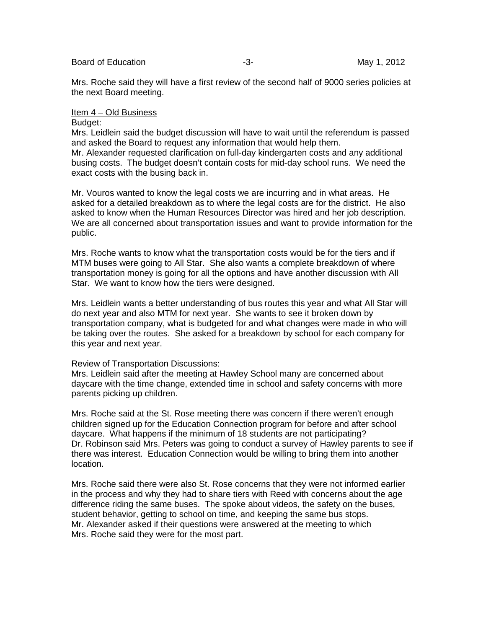Mrs. Roche said they will have a first review of the second half of 9000 series policies at the next Board meeting.

### Item 4 – Old Business

# Budget:

Mrs. Leidlein said the budget discussion will have to wait until the referendum is passed and asked the Board to request any information that would help them. Mr. Alexander requested clarification on full-day kindergarten costs and any additional busing costs. The budget doesn't contain costs for mid-day school runs. We need the exact costs with the busing back in.

Mr. Vouros wanted to know the legal costs we are incurring and in what areas. He asked for a detailed breakdown as to where the legal costs are for the district. He also asked to know when the Human Resources Director was hired and her job description. We are all concerned about transportation issues and want to provide information for the public.

Mrs. Roche wants to know what the transportation costs would be for the tiers and if MTM buses were going to All Star. She also wants a complete breakdown of where transportation money is going for all the options and have another discussion with All Star. We want to know how the tiers were designed.

Mrs. Leidlein wants a better understanding of bus routes this year and what All Star will do next year and also MTM for next year. She wants to see it broken down by transportation company, what is budgeted for and what changes were made in who will be taking over the routes. She asked for a breakdown by school for each company for this year and next year.

#### Review of Transportation Discussions:

Mrs. Leidlein said after the meeting at Hawley School many are concerned about daycare with the time change, extended time in school and safety concerns with more parents picking up children.

Mrs. Roche said at the St. Rose meeting there was concern if there weren't enough children signed up for the Education Connection program for before and after school daycare. What happens if the minimum of 18 students are not participating? Dr. Robinson said Mrs. Peters was going to conduct a survey of Hawley parents to see if there was interest. Education Connection would be willing to bring them into another location.

Mrs. Roche said there were also St. Rose concerns that they were not informed earlier in the process and why they had to share tiers with Reed with concerns about the age difference riding the same buses. The spoke about videos, the safety on the buses, student behavior, getting to school on time, and keeping the same bus stops. Mr. Alexander asked if their questions were answered at the meeting to which Mrs. Roche said they were for the most part.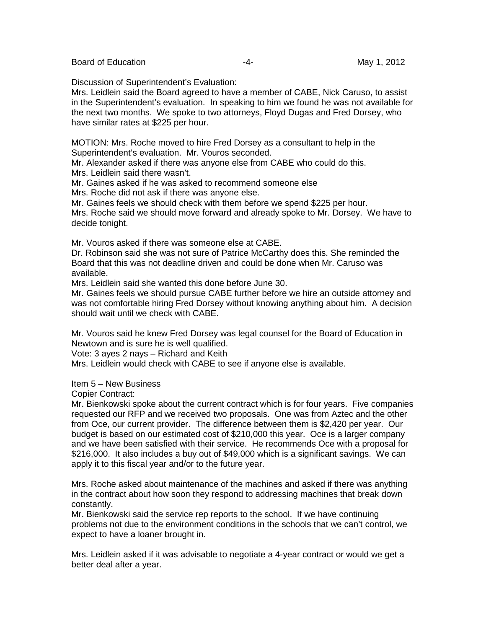Discussion of Superintendent's Evaluation:

Mrs. Leidlein said the Board agreed to have a member of CABE, Nick Caruso, to assist in the Superintendent's evaluation. In speaking to him we found he was not available for the next two months. We spoke to two attorneys, Floyd Dugas and Fred Dorsey, who have similar rates at \$225 per hour.

MOTION: Mrs. Roche moved to hire Fred Dorsey as a consultant to help in the Superintendent's evaluation. Mr. Vouros seconded.

Mr. Alexander asked if there was anyone else from CABE who could do this. Mrs. Leidlein said there wasn't.

Mr. Gaines asked if he was asked to recommend someone else

Mrs. Roche did not ask if there was anyone else.

Mr. Gaines feels we should check with them before we spend \$225 per hour.

Mrs. Roche said we should move forward and already spoke to Mr. Dorsey. We have to decide tonight.

Mr. Vouros asked if there was someone else at CABE.

Dr. Robinson said she was not sure of Patrice McCarthy does this. She reminded the Board that this was not deadline driven and could be done when Mr. Caruso was available.

Mrs. Leidlein said she wanted this done before June 30.

Mr. Gaines feels we should pursue CABE further before we hire an outside attorney and was not comfortable hiring Fred Dorsey without knowing anything about him. A decision should wait until we check with CABE.

Mr. Vouros said he knew Fred Dorsey was legal counsel for the Board of Education in Newtown and is sure he is well qualified.

Vote: 3 ayes 2 nays – Richard and Keith

Mrs. Leidlein would check with CABE to see if anyone else is available.

#### Item 5 – New Business

Copier Contract:

Mr. Bienkowski spoke about the current contract which is for four years. Five companies requested our RFP and we received two proposals. One was from Aztec and the other from Oce, our current provider. The difference between them is \$2,420 per year. Our budget is based on our estimated cost of \$210,000 this year. Oce is a larger company and we have been satisfied with their service. He recommends Oce with a proposal for \$216,000. It also includes a buy out of \$49,000 which is a significant savings. We can apply it to this fiscal year and/or to the future year.

Mrs. Roche asked about maintenance of the machines and asked if there was anything in the contract about how soon they respond to addressing machines that break down constantly.

Mr. Bienkowski said the service rep reports to the school. If we have continuing problems not due to the environment conditions in the schools that we can't control, we expect to have a loaner brought in.

Mrs. Leidlein asked if it was advisable to negotiate a 4-year contract or would we get a better deal after a year.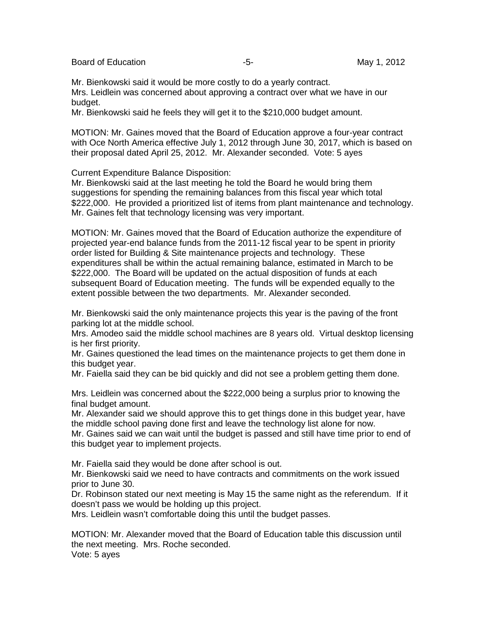Board of Education **-5-** Formulation **-5-** May 1, 2012

Mr. Bienkowski said it would be more costly to do a yearly contract. Mrs. Leidlein was concerned about approving a contract over what we have in our budget.

Mr. Bienkowski said he feels they will get it to the \$210,000 budget amount.

MOTION: Mr. Gaines moved that the Board of Education approve a four-year contract with Oce North America effective July 1, 2012 through June 30, 2017, which is based on their proposal dated April 25, 2012. Mr. Alexander seconded. Vote: 5 ayes

Current Expenditure Balance Disposition:

Mr. Bienkowski said at the last meeting he told the Board he would bring them suggestions for spending the remaining balances from this fiscal year which total \$222,000. He provided a prioritized list of items from plant maintenance and technology. Mr. Gaines felt that technology licensing was very important.

MOTION: Mr. Gaines moved that the Board of Education authorize the expenditure of projected year-end balance funds from the 2011-12 fiscal year to be spent in priority order listed for Building & Site maintenance projects and technology. These expenditures shall be within the actual remaining balance, estimated in March to be \$222,000. The Board will be updated on the actual disposition of funds at each subsequent Board of Education meeting. The funds will be expended equally to the extent possible between the two departments. Mr. Alexander seconded.

Mr. Bienkowski said the only maintenance projects this year is the paving of the front parking lot at the middle school.

Mrs. Amodeo said the middle school machines are 8 years old. Virtual desktop licensing is her first priority.

Mr. Gaines questioned the lead times on the maintenance projects to get them done in this budget year.

Mr. Faiella said they can be bid quickly and did not see a problem getting them done.

Mrs. Leidlein was concerned about the \$222,000 being a surplus prior to knowing the final budget amount.

Mr. Alexander said we should approve this to get things done in this budget year, have the middle school paving done first and leave the technology list alone for now.

Mr. Gaines said we can wait until the budget is passed and still have time prior to end of this budget year to implement projects.

Mr. Faiella said they would be done after school is out.

Mr. Bienkowski said we need to have contracts and commitments on the work issued prior to June 30.

Dr. Robinson stated our next meeting is May 15 the same night as the referendum. If it doesn't pass we would be holding up this project.

Mrs. Leidlein wasn't comfortable doing this until the budget passes.

MOTION: Mr. Alexander moved that the Board of Education table this discussion until the next meeting. Mrs. Roche seconded. Vote: 5 ayes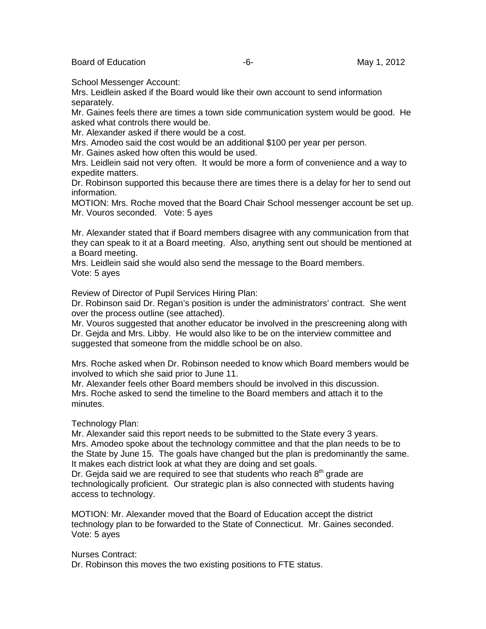Board of Education **Container Container Container Container Container Container Container May 1, 2012** 

School Messenger Account:

Mrs. Leidlein asked if the Board would like their own account to send information separately.

Mr. Gaines feels there are times a town side communication system would be good. He asked what controls there would be.

Mr. Alexander asked if there would be a cost.

Mrs. Amodeo said the cost would be an additional \$100 per year per person.

Mr. Gaines asked how often this would be used.

Mrs. Leidlein said not very often. It would be more a form of convenience and a way to expedite matters.

Dr. Robinson supported this because there are times there is a delay for her to send out information.

MOTION: Mrs. Roche moved that the Board Chair School messenger account be set up. Mr. Vouros seconded. Vote: 5 ayes

Mr. Alexander stated that if Board members disagree with any communication from that they can speak to it at a Board meeting. Also, anything sent out should be mentioned at a Board meeting.

Mrs. Leidlein said she would also send the message to the Board members. Vote: 5 ayes

Review of Director of Pupil Services Hiring Plan:

Dr. Robinson said Dr. Regan's position is under the administrators' contract. She went over the process outline (see attached).

Mr. Vouros suggested that another educator be involved in the prescreening along with Dr. Gejda and Mrs. Libby. He would also like to be on the interview committee and suggested that someone from the middle school be on also.

Mrs. Roche asked when Dr. Robinson needed to know which Board members would be involved to which she said prior to June 11.

Mr. Alexander feels other Board members should be involved in this discussion. Mrs. Roche asked to send the timeline to the Board members and attach it to the minutes.

# Technology Plan:

Mr. Alexander said this report needs to be submitted to the State every 3 years. Mrs. Amodeo spoke about the technology committee and that the plan needs to be to the State by June 15. The goals have changed but the plan is predominantly the same. It makes each district look at what they are doing and set goals.

Dr. Gejda said we are required to see that students who reach  $8<sup>th</sup>$  grade are technologically proficient. Our strategic plan is also connected with students having access to technology.

MOTION: Mr. Alexander moved that the Board of Education accept the district technology plan to be forwarded to the State of Connecticut. Mr. Gaines seconded. Vote: 5 ayes

Nurses Contract:

Dr. Robinson this moves the two existing positions to FTE status.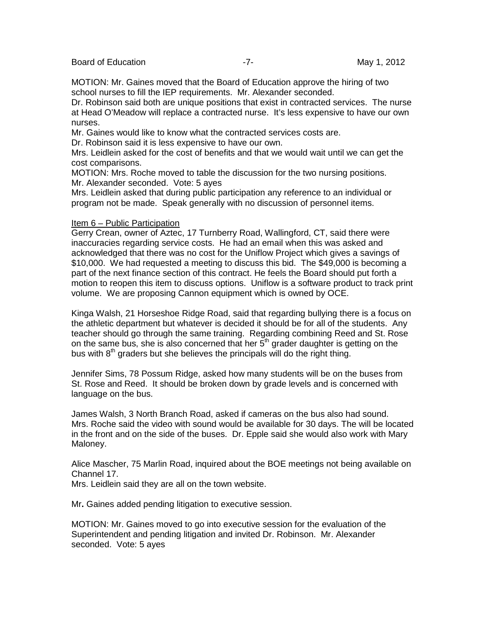Board of Education **Contract Contract Contract Contract Contract Contract Contract Contract Contract Contract Contract Contract Contract Contract Contract Contract Contract Contract Contract Contract Contract Contract Cont** 

MOTION: Mr. Gaines moved that the Board of Education approve the hiring of two school nurses to fill the IEP requirements. Mr. Alexander seconded.

Dr. Robinson said both are unique positions that exist in contracted services. The nurse at Head O'Meadow will replace a contracted nurse. It's less expensive to have our own nurses.

Mr. Gaines would like to know what the contracted services costs are.

Dr. Robinson said it is less expensive to have our own.

Mrs. Leidlein asked for the cost of benefits and that we would wait until we can get the cost comparisons.

MOTION: Mrs. Roche moved to table the discussion for the two nursing positions. Mr. Alexander seconded. Vote: 5 ayes

Mrs. Leidlein asked that during public participation any reference to an individual or program not be made. Speak generally with no discussion of personnel items.

### Item 6 – Public Participation

Gerry Crean, owner of Aztec, 17 Turnberry Road, Wallingford, CT, said there were inaccuracies regarding service costs. He had an email when this was asked and acknowledged that there was no cost for the Uniflow Project which gives a savings of \$10,000. We had requested a meeting to discuss this bid. The \$49,000 is becoming a part of the next finance section of this contract. He feels the Board should put forth a motion to reopen this item to discuss options. Uniflow is a software product to track print volume. We are proposing Cannon equipment which is owned by OCE.

Kinga Walsh, 21 Horseshoe Ridge Road, said that regarding bullying there is a focus on the athletic department but whatever is decided it should be for all of the students. Any teacher should go through the same training. Regarding combining Reed and St. Rose on the same bus, she is also concerned that her  $5<sup>th</sup>$  grader daughter is getting on the bus with  $8<sup>th</sup>$  graders but she believes the principals will do the right thing.

Jennifer Sims, 78 Possum Ridge, asked how many students will be on the buses from St. Rose and Reed. It should be broken down by grade levels and is concerned with language on the bus.

James Walsh, 3 North Branch Road, asked if cameras on the bus also had sound. Mrs. Roche said the video with sound would be available for 30 days. The will be located in the front and on the side of the buses. Dr. Epple said she would also work with Mary Maloney.

Alice Mascher, 75 Marlin Road, inquired about the BOE meetings not being available on Channel 17.

Mrs. Leidlein said they are all on the town website.

Mr**.** Gaines added pending litigation to executive session.

MOTION: Mr. Gaines moved to go into executive session for the evaluation of the Superintendent and pending litigation and invited Dr. Robinson. Mr. Alexander seconded. Vote: 5 ayes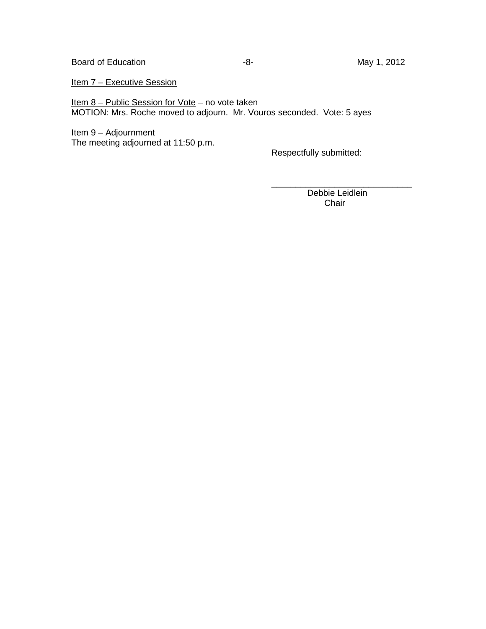Item 7 - Executive Session

Item 8 – Public Session for Vote – no vote taken MOTION: Mrs. Roche moved to adjourn. Mr. Vouros seconded. Vote: 5 ayes

<u> Item 9 – Adjournment</u> The meeting adjourned at 11:50 p.m.

Respectfully submitted:

\_\_\_\_\_\_\_\_\_\_\_\_\_\_\_\_\_\_\_\_\_\_\_\_\_\_\_\_\_ Debbie Leidlein Chair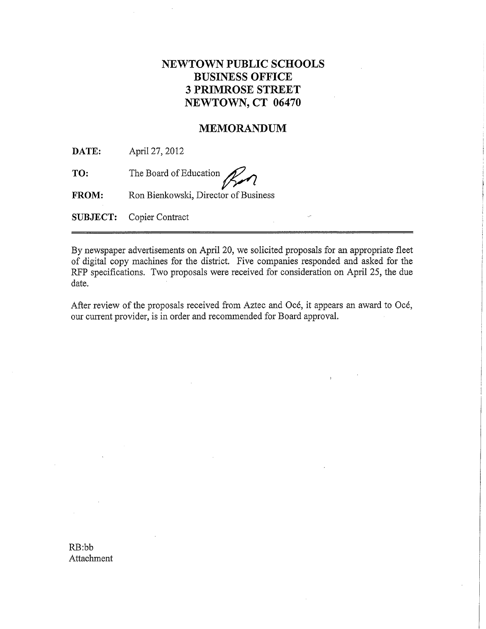# **NEWTOWN PUBLIC SCHOOLS BUSINESS OFFICE 3 PRIMROSE STREET** NEWTOWN, CT 06470

# **MEMORANDUM**

DATE: April 27, 2012

TO: The Board of Education

Ron Bienkowski, Director of Business **FROM:** 

**SUBJECT:** Copier Contract

By newspaper advertisements on April 20, we solicited proposals for an appropriate fleet of digital copy machines for the district. Five companies responded and asked for the RFP specifications. Two proposals were received for consideration on April 25, the due date.

After review of the proposals received from Aztec and Océ, it appears an award to Océ, our current provider, is in order and recommended for Board approval.

 $RB:bb$ Attachment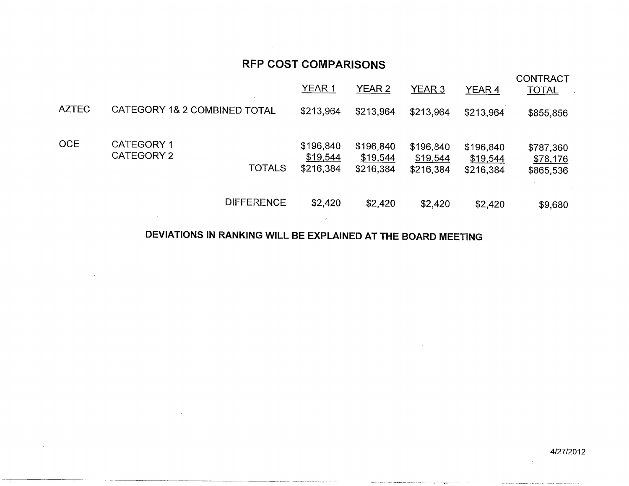# **RFP COST COMPARISONS**

|              |                                                         | <b>YEAR 1</b>                      | YEAR 2                             | YEAR 3                             | YEAR 4                             | <b>CONTRACT</b><br><b>TOTAL</b>    |
|--------------|---------------------------------------------------------|------------------------------------|------------------------------------|------------------------------------|------------------------------------|------------------------------------|
| <b>AZTEC</b> | CATEGORY 1& 2 COMBINED TOTAL                            | \$213,964                          | \$213,964                          | \$213,964                          | \$213,964                          | \$855,856                          |
| <b>OCE</b>   | <b>CATEGORY 1</b><br><b>CATEGORY 2</b><br><b>TOTALS</b> | \$196,840<br>\$19,544<br>\$216,384 | \$196,840<br>\$19,544<br>\$216,384 | \$196,840<br>\$19,544<br>\$216,384 | \$196,840<br>\$19,544<br>\$216,384 | \$787,360<br>\$78,176<br>\$865,536 |
|              | <b>DIFFERENCE</b>                                       | \$2,420                            | \$2,420                            | \$2,420                            | \$2,420                            | \$9,680                            |

# DEVIATIONS IN RANKING WILL BE EXPLAINED AT THE BOARD MEETING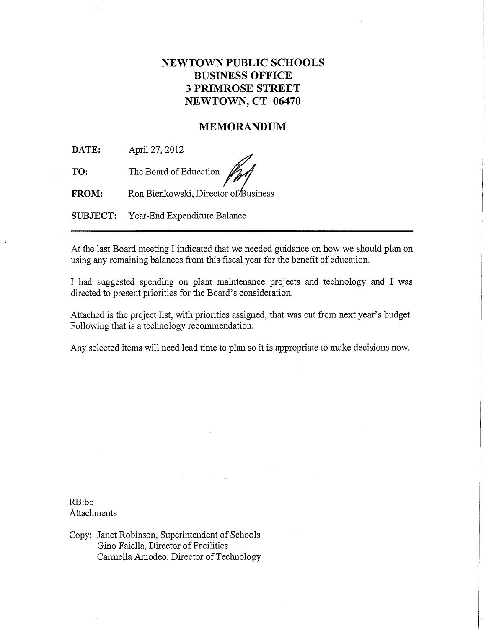# **NEWTOWN PUBLIC SCHOOLS BUSINESS OFFICE 3 PRIMROSE STREET** NEWTOWN, CT 06470

# **MEMORANDUM**

DATE: April 27, 2012

TO: The Board of Education

Ron Bienkowski, Director of Business FROM:

**SUBJECT:** Year-End Expenditure Balance

At the last Board meeting I indicated that we needed guidance on how we should plan on using any remaining balances from this fiscal year for the benefit of education.

I had suggested spending on plant maintenance projects and technology and I was directed to present priorities for the Board's consideration.

Attached is the project list, with priorities assigned, that was cut from next year's budget. Following that is a technology recommendation.

Any selected items will need lead time to plan so it is appropriate to make decisions now.

 $RB:bb$ Attachments

Copy: Janet Robinson, Superintendent of Schools Gino Faiella, Director of Facilities Carmella Amodeo, Director of Technology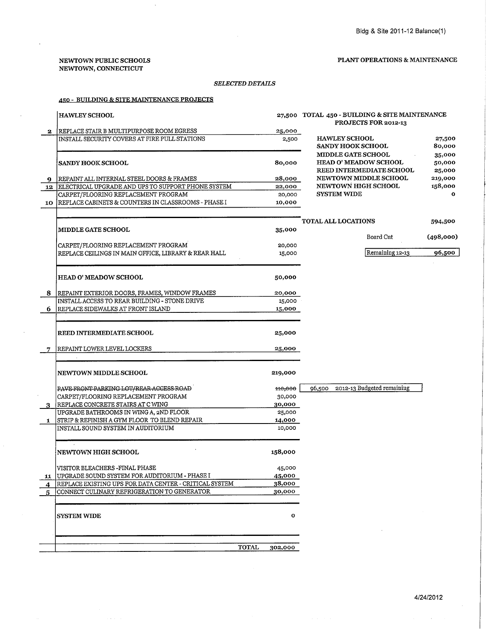#### NEWTOWN PUBLIC SCHOOLS NEWTOWN, CONNECTICUT

 $\alpha$  ,  $\alpha$  ,  $\beta$  ,  $\beta$ 

#### PLANT OPERATIONS & MAINTENANCE

#### $\it SELECTED\,DETALS$

### 450 - BUILDING & SITE MAINTENANCE PROJECTS

|              | <b>HAWLEY SCHOOL</b>                                                                          |                  | 27,500 TOTAL 450 - BUILDING & SITE MAINTENANCE<br>PROJECTS FOR 2012-13 |                    |  |
|--------------|-----------------------------------------------------------------------------------------------|------------------|------------------------------------------------------------------------|--------------------|--|
| $\mathbf{2}$ | REPLACE STAIR B MULTIPURPOSE ROOM EGRESS                                                      | 25,000           |                                                                        |                    |  |
|              | INSTALL SECURITY COVERS AT FIRE PULL STATIONS                                                 | 2,500            | <b>HAWLEY SCHOOL</b>                                                   | 27,500             |  |
|              |                                                                                               |                  | <b>SANDY HOOK SCHOOL</b>                                               | 80,000             |  |
|              |                                                                                               |                  | <b>MIDDLE GATE SCHOOL</b>                                              | 35,000             |  |
|              | <b>SANDY HOOK SCHOOL</b>                                                                      | 80,000           | <b>HEAD O' MEADOW SCHOOL</b>                                           | 50,000             |  |
|              |                                                                                               |                  | REED INTERMEDIATE SCHOOL                                               | 25,000             |  |
| 9.           | REPAINT ALL INTERNAL STEEL DOORS & FRAMES                                                     | 28,000           | NEWTOWN MIDDLE SCHOOL<br><b>NEWTOWN HIGH SCHOOL</b>                    | 219,000<br>158,000 |  |
| 12           | ELECTRICAL UPGRADE AND UPS TO SUPPORT PHONE SYSTEM<br>CARPET/FLOORING REPLACEMENT PROGRAM     | 22,000<br>20,000 | <b>SYSTEM WIDE</b>                                                     | $\mathbf{o}$       |  |
| 10           | REPLACE CABINETS & COUNTERS IN CLASSROOMS - PHASE I                                           | 10,000           |                                                                        |                    |  |
|              |                                                                                               |                  |                                                                        |                    |  |
|              |                                                                                               |                  | <b>TOTAL ALL LOCATIONS</b>                                             | 594,500            |  |
|              | <b>MIDDLE GATE SCHOOL</b>                                                                     | 35,000           |                                                                        |                    |  |
|              |                                                                                               |                  | Board Cut                                                              | (498,000)          |  |
|              | CARPET/FLOORING REPLACEMENT PROGRAM                                                           | 20,000           |                                                                        |                    |  |
|              | REPLACE CEILINGS IN MAIN OFFICE, LIBRARY & REAR HALL                                          | 15,000           | Remaining 12-13                                                        | 96,500             |  |
|              |                                                                                               |                  |                                                                        |                    |  |
|              | <b>HEAD O' MEADOW SCHOOL</b>                                                                  | 50,000           |                                                                        |                    |  |
|              |                                                                                               |                  |                                                                        |                    |  |
|              | 8   REPAINT EXTERIOR DOORS, FRAMES, WINDOW FRAMES                                             | 20,000           |                                                                        |                    |  |
|              | INSTALL ACCESS TO REAR BUILDING - STONE DRIVE                                                 | 15,000           |                                                                        |                    |  |
| 6            | REPLACE SIDEWALKS AT FRONT ISLAND                                                             | 15,000           |                                                                        |                    |  |
|              |                                                                                               |                  |                                                                        |                    |  |
|              | <b>REED INTERMEDIATE SCHOOL</b>                                                               | 25,000           |                                                                        |                    |  |
|              |                                                                                               |                  |                                                                        |                    |  |
|              | REPAINT LOWER LEVEL LOCKERS                                                                   | 25,000           |                                                                        |                    |  |
|              |                                                                                               |                  |                                                                        |                    |  |
|              | <b>NEWTOWN MIDDLE SCHOOL</b>                                                                  | 219,000          |                                                                        |                    |  |
|              |                                                                                               |                  |                                                                        |                    |  |
|              | PAVE FRONT PARKING LOT/REAR ACCESS ROAD                                                       | 110,000          | 96,500 2012-13 Budgeted remaining                                      |                    |  |
|              | CARPET/FLOORING REPLACEMENT PROGRAM                                                           | 30,000           |                                                                        |                    |  |
|              | REPLACE CONCRETE STAIRS AT C WING                                                             | 30,000           |                                                                        |                    |  |
|              | UPGRADE BATHROOMS IN WING A, 2ND FLOOR                                                        | 25,000           |                                                                        |                    |  |
| 1            | <b>STRIP &amp; REFINISH A GYM FLOOR TO BLEND REPAIR</b><br>INSTALL SOUND SYSTEM IN AUDITORIUM | 14,000<br>10,000 |                                                                        |                    |  |
|              |                                                                                               |                  |                                                                        |                    |  |
|              |                                                                                               |                  |                                                                        |                    |  |
|              | <b>NEWTOWN HIGH SCHOOL</b>                                                                    | 158,000          |                                                                        |                    |  |
|              |                                                                                               |                  |                                                                        |                    |  |
|              | VISITOR BLEACHERS - FINAL PHASE<br>11 UPGRADE SOUND SYSTEM FOR AUDITORIUM - PHASE I           | 45,000           |                                                                        |                    |  |
|              | REPLACE EXISTING UPS FOR DATA CENTER - CRITICAL SYSTEM                                        | 45,000<br>38,000 |                                                                        |                    |  |
| 4<br>5       | CONNECT CULINARY REFRIGERATION TO GENERATOR                                                   | 30,000           |                                                                        |                    |  |
|              |                                                                                               |                  |                                                                        |                    |  |
|              |                                                                                               |                  |                                                                        |                    |  |
|              | <b>SYSTEM WIDE</b>                                                                            | o                |                                                                        |                    |  |
|              |                                                                                               |                  |                                                                        |                    |  |
|              |                                                                                               |                  |                                                                        |                    |  |
|              | <b>TOTAL</b>                                                                                  | 302,000          |                                                                        |                    |  |

 $\mathcal{A}^{\pm}$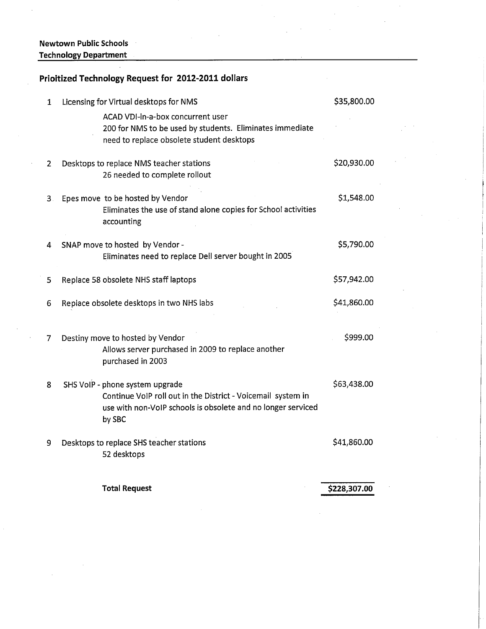# Newtown Public Schools **Technology Department**

# Prioitized Technology Request for 2012-2011 dollars

| 1  | Licensing for Virtual desktops for NMS                                                                                                                                    | \$35,800.00  |
|----|---------------------------------------------------------------------------------------------------------------------------------------------------------------------------|--------------|
|    | ACAD VDI-in-a-box concurrent user<br>200 for NMS to be used by students. Eliminates immediate<br>need to replace obsolete student desktops                                |              |
| 2  | Desktops to replace NMS teacher stations<br>26 needed to complete rollout                                                                                                 | \$20,930.00  |
| З. | Epes move to be hosted by Vendor<br>Eliminates the use of stand alone copies for School activities<br>accounting                                                          | \$1,548.00   |
| 4  | SNAP move to hosted by Vendor -<br>Eliminates need to replace Dell server bought in 2005                                                                                  | \$5,790.00   |
| 5  | Replace 58 obsolete NHS staff laptops                                                                                                                                     | \$57,942.00  |
| 6  | Replace obsolete desktops in two NHS labs                                                                                                                                 | \$41,860.00  |
| 7  | Destiny move to hosted by Vendor<br>Allows server purchased in 2009 to replace another<br>purchased in 2003                                                               | \$999.00     |
| 8  | SHS VoIP - phone system upgrade<br>Continue VoIP roll out in the District - Voicemail system in<br>use with non-VoIP schools is obsolete and no longer serviced<br>by SBC | \$63,438.00  |
| 9  | Desktops to replace SHS teacher stations<br>52 desktops                                                                                                                   | \$41,860.00  |
|    | <b>Total Request</b>                                                                                                                                                      | \$228,307.00 |

\$228,307.00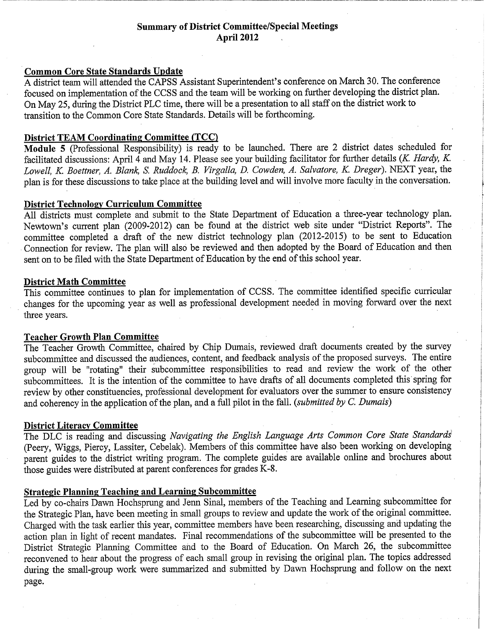# **Summary of District Committee/Special Meetings April 2012**

# **Common Core State Standards Update**

A district team will attended the CAPSS Assistant Superintendent's conference on March 30. The conference focused on implementation of the CCSS and the team will be working on further developing the district plan. On May 25, during the District PLC time, there will be a presentation to all staff on the district work to transition to the Common Core State Standards. Details will be forthcoming.

# **District TEAM Coordinating Committee (TCC)**

Module 5 (Professional Responsibility) is ready to be launched. There are 2 district dates scheduled for facilitated discussions: April 4 and May 14. Please see your building facilitator for further details (K. Hardy, K. Lowell, K. Boettner, A. Blank, S. Ruddock, B. Virgalla, D. Cowden, A. Salvatore, K. Dreger). NEXT year, the plan is for these discussions to take place at the building level and will involve more faculty in the conversation.

# **District Technology Curriculum Committee**

All districts must complete and submit to the State Department of Education a three-year technology plan. Newtown's current plan (2009-2012) can be found at the district web site under "District Reports". The committee completed a draft of the new district technology plan (2012-2015) to be sent to Education Connection for review. The plan will also be reviewed and then adopted by the Board of Education and then sent on to be filed with the State Department of Education by the end of this school year.

# **District Math Committee**

This committee continues to plan for implementation of CCSS. The committee identified specific curricular changes for the upcoming year as well as professional development needed in moving forward over the next three years.

# **Teacher Growth Plan Committee**

The Teacher Growth Committee, chaired by Chip Dumais, reviewed draft documents created by the survey subcommittee and discussed the audiences, content, and feedback analysis of the proposed surveys. The entire group will be "rotating" their subcommittee responsibilities to read and review the work of the other subcommittees. It is the intention of the committee to have drafts of all documents completed this spring for review by other constituencies, professional development for evaluators over the summer to ensure consistency and coherency in the application of the plan, and a full pilot in the fall. (submitted by C. Dumais)

# **District Literacy Committee**

The DLC is reading and discussing Navigating the English Language Arts Common Core State Standards (Peery, Wiggs, Piercy, Lassiter, Cebelak). Members of this committee have also been working on developing parent guides to the district writing program. The complete guides are available online and brochures about those guides were distributed at parent conferences for grades K-8.

# **Strategic Planning Teaching and Learning Subcommittee**

Led by co-chairs Dawn Hochsprung and Jenn Sinal, members of the Teaching and Learning subcommittee for the Strategic Plan, have been meeting in small groups to review and update the work of the original committee. Charged with the task earlier this year, committee members have been researching, discussing and updating the action plan in light of recent mandates. Final recommendations of the subcommittee will be presented to the District Strategic Planning Committee and to the Board of Education. On March 26, the subcommittee reconvened to hear about the progress of each small group in revising the original plan. The topics addressed during the small-group work were summarized and submitted by Dawn Hochsprung and follow on the next page.